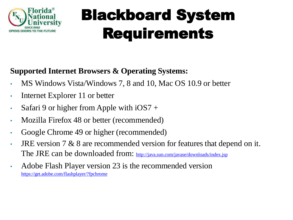

#### **Supported Internet Browsers & Operating Systems:**

- MS Windows Vista/Windows 7, 8 and 10, Mac OS 10.9 or better
- Internet Explorer 11 or better
- Safari 9 or higher from Apple with  $iOS7 +$
- Mozilla Firefox 48 or better (recommended)
- Google Chrome 49 or higher (recommended)
- JRE version 7 & 8 are recommended version for features that depend on it. The JRE can be downloaded from: <http://java.sun.com/javase/downloads/index.jsp>
- Adobe Flash Player version 23 is the recommended version <https://get.adobe.com/flashplayer/?fpchrome>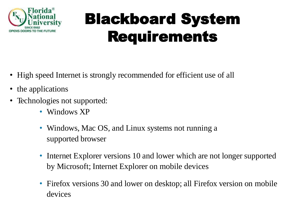

- High speed Internet is strongly recommended for efficient use of all
- the applications
- Technologies not supported:
	- Windows XP
	- Windows, Mac OS, and Linux systems not running a supported browser
	- Internet Explorer versions 10 and lower which are not longer supported by Microsoft; Internet Explorer on mobile devices
	- Firefox versions 30 and lower on desktop; all Firefox version on mobile devices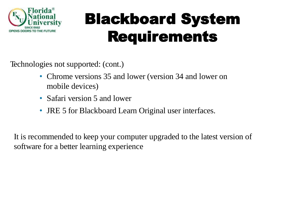

Technologies not supported: (cont.)

- Chrome versions 35 and lower (version 34 and lower on mobile devices)
- Safari version 5 and lower
- JRE 5 for Blackboard Learn Original user interfaces.

It is recommended to keep your computer upgraded to the latest version of software for a better learning experience